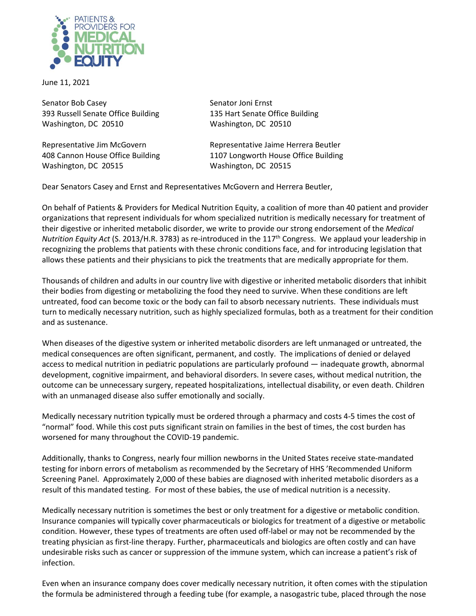

June 11, 2021

Senator Bob Casey Senator Joni Ernst 393 Russell Senate Office Building 135 Hart Senate Office Building Washington, DC 20510 Washington, DC 20510

Washington, DC 20515 Washington, DC 20515

Representative Jim McGovern **Representative Jaime Herrera Beutler** 408 Cannon House Office Building 1107 Longworth House Office Building

Dear Senators Casey and Ernst and Representatives McGovern and Herrera Beutler,

On behalf of Patients & Providers for Medical Nutrition Equity, a coalition of more than 40 patient and provider organizations that represent individuals for whom specialized nutrition is medically necessary for treatment of their digestive or inherited metabolic disorder, we write to provide our strong endorsement of the *Medical Nutrition Equity Act* (S. 2013/H.R. 3783) as re-introduced in the 117th Congress. We applaud your leadership in recognizing the problems that patients with these chronic conditions face, and for introducing legislation that allows these patients and their physicians to pick the treatments that are medically appropriate for them.

Thousands of children and adults in our country live with digestive or inherited metabolic disorders that inhibit their bodies from digesting or metabolizing the food they need to survive. When these conditions are left untreated, food can become toxic or the body can fail to absorb necessary nutrients. These individuals must turn to medically necessary nutrition, such as highly specialized formulas, both as a treatment for their condition and as sustenance.

When diseases of the digestive system or inherited metabolic disorders are left unmanaged or untreated, the medical consequences are often significant, permanent, and costly. The implications of denied or delayed access to medical nutrition in pediatric populations are particularly profound — inadequate growth, abnormal development, cognitive impairment, and behavioral disorders. In severe cases, without medical nutrition, the outcome can be unnecessary surgery, repeated hospitalizations, intellectual disability, or even death. Children with an unmanaged disease also suffer emotionally and socially.

Medically necessary nutrition typically must be ordered through a pharmacy and costs 4-5 times the cost of "normal" food. While this cost puts significant strain on families in the best of times, the cost burden has worsened for many throughout the COVID-19 pandemic.

Additionally, thanks to Congress, nearly four million newborns in the United States receive state-mandated testing for inborn errors of metabolism as recommended by the Secretary of HHS 'Recommended Uniform Screening Panel. Approximately 2,000 of these babies are diagnosed with inherited metabolic disorders as a result of this mandated testing. For most of these babies, the use of medical nutrition is a necessity.

Medically necessary nutrition is sometimes the best or only treatment for a digestive or metabolic condition. Insurance companies will typically cover pharmaceuticals or biologics for treatment of a digestive or metabolic condition. However, these types of treatments are often used off-label or may not be recommended by the treating physician as first-line therapy. Further, pharmaceuticals and biologics are often costly and can have undesirable risks such as cancer or suppression of the immune system, which can increase a patient's risk of infection.

Even when an insurance company does cover medically necessary nutrition, it often comes with the stipulation the formula be administered through a feeding tube (for example, a nasogastric tube, placed through the nose